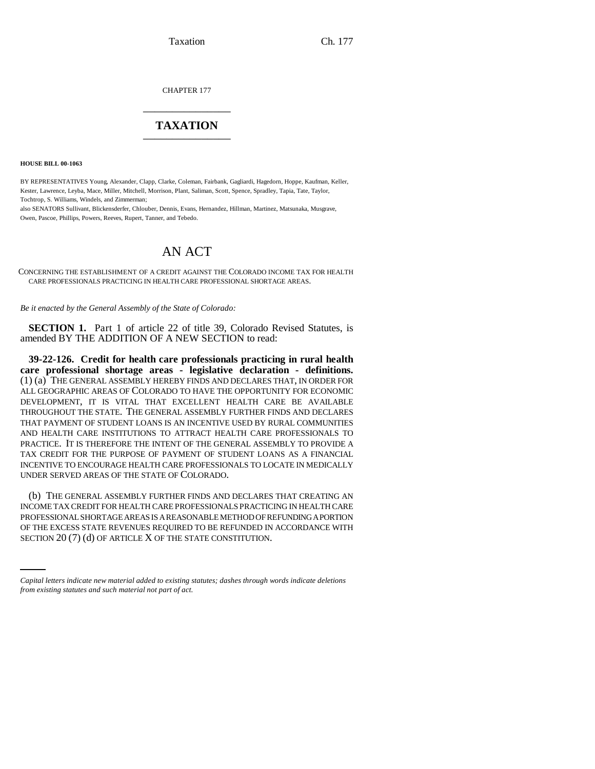Taxation Ch. 177

CHAPTER 177 \_\_\_\_\_\_\_\_\_\_\_\_\_\_\_

# **TAXATION** \_\_\_\_\_\_\_\_\_\_\_\_\_\_\_

**HOUSE BILL 00-1063** 

BY REPRESENTATIVES Young, Alexander, Clapp, Clarke, Coleman, Fairbank, Gagliardi, Hagedorn, Hoppe, Kaufman, Keller, Kester, Lawrence, Leyba, Mace, Miller, Mitchell, Morrison, Plant, Saliman, Scott, Spence, Spradley, Tapia, Tate, Taylor, Tochtrop, S. Williams, Windels, and Zimmerman;

also SENATORS Sullivant, Blickensderfer, Chlouber, Dennis, Evans, Hernandez, Hillman, Martinez, Matsunaka, Musgrave, Owen, Pascoe, Phillips, Powers, Reeves, Rupert, Tanner, and Tebedo.

# AN ACT

CONCERNING THE ESTABLISHMENT OF A CREDIT AGAINST THE COLORADO INCOME TAX FOR HEALTH CARE PROFESSIONALS PRACTICING IN HEALTH CARE PROFESSIONAL SHORTAGE AREAS.

*Be it enacted by the General Assembly of the State of Colorado:*

**SECTION 1.** Part 1 of article 22 of title 39, Colorado Revised Statutes, is amended BY THE ADDITION OF A NEW SECTION to read:

**39-22-126. Credit for health care professionals practicing in rural health care professional shortage areas - legislative declaration - definitions.** (1) (a) THE GENERAL ASSEMBLY HEREBY FINDS AND DECLARES THAT, IN ORDER FOR ALL GEOGRAPHIC AREAS OF COLORADO TO HAVE THE OPPORTUNITY FOR ECONOMIC DEVELOPMENT, IT IS VITAL THAT EXCELLENT HEALTH CARE BE AVAILABLE THROUGHOUT THE STATE. THE GENERAL ASSEMBLY FURTHER FINDS AND DECLARES THAT PAYMENT OF STUDENT LOANS IS AN INCENTIVE USED BY RURAL COMMUNITIES AND HEALTH CARE INSTITUTIONS TO ATTRACT HEALTH CARE PROFESSIONALS TO PRACTICE. IT IS THEREFORE THE INTENT OF THE GENERAL ASSEMBLY TO PROVIDE A TAX CREDIT FOR THE PURPOSE OF PAYMENT OF STUDENT LOANS AS A FINANCIAL INCENTIVE TO ENCOURAGE HEALTH CARE PROFESSIONALS TO LOCATE IN MEDICALLY UNDER SERVED AREAS OF THE STATE OF COLORADO.

PROFESSIONAL SHORTAGE AREAS IS A REASONABLE METHOD OF REFUNDING A PORTION (b) THE GENERAL ASSEMBLY FURTHER FINDS AND DECLARES THAT CREATING AN INCOME TAX CREDIT FOR HEALTH CARE PROFESSIONALS PRACTICING IN HEALTH CARE OF THE EXCESS STATE REVENUES REQUIRED TO BE REFUNDED IN ACCORDANCE WITH SECTION 20 (7) (d) OF ARTICLE X OF THE STATE CONSTITUTION.

*Capital letters indicate new material added to existing statutes; dashes through words indicate deletions from existing statutes and such material not part of act.*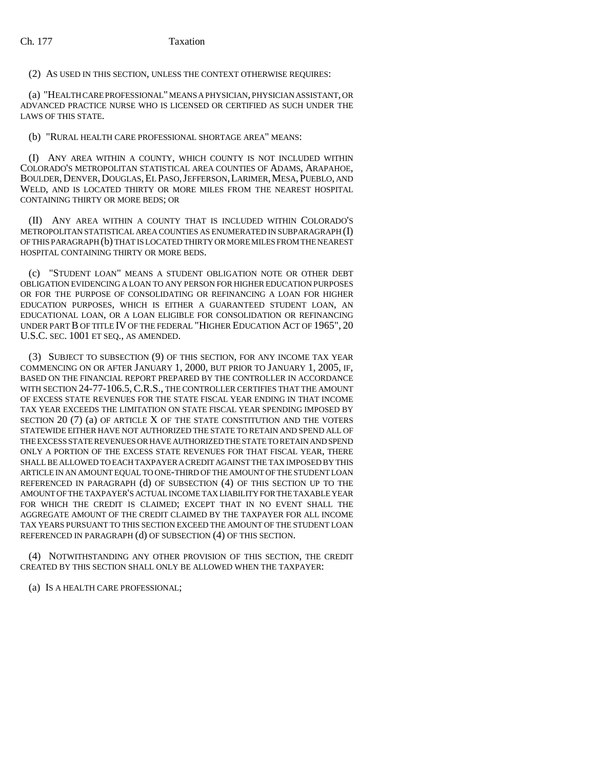## Ch. 177 Taxation

(2) AS USED IN THIS SECTION, UNLESS THE CONTEXT OTHERWISE REQUIRES:

(a) "HEALTH CARE PROFESSIONAL" MEANS A PHYSICIAN, PHYSICIAN ASSISTANT, OR ADVANCED PRACTICE NURSE WHO IS LICENSED OR CERTIFIED AS SUCH UNDER THE LAWS OF THIS STATE.

(b) "RURAL HEALTH CARE PROFESSIONAL SHORTAGE AREA" MEANS:

(I) ANY AREA WITHIN A COUNTY, WHICH COUNTY IS NOT INCLUDED WITHIN COLORADO'S METROPOLITAN STATISTICAL AREA COUNTIES OF ADAMS, ARAPAHOE, BOULDER, DENVER, DOUGLAS, EL PASO, JEFFERSON, LARIMER, MESA, PUEBLO, AND WELD, AND IS LOCATED THIRTY OR MORE MILES FROM THE NEAREST HOSPITAL CONTAINING THIRTY OR MORE BEDS; OR

(II) ANY AREA WITHIN A COUNTY THAT IS INCLUDED WITHIN COLORADO'S METROPOLITAN STATISTICAL AREA COUNTIES AS ENUMERATED IN SUBPARAGRAPH (I) OF THIS PARAGRAPH (b) THAT IS LOCATED THIRTY OR MORE MILES FROM THE NEAREST HOSPITAL CONTAINING THIRTY OR MORE BEDS.

(c) "STUDENT LOAN" MEANS A STUDENT OBLIGATION NOTE OR OTHER DEBT OBLIGATION EVIDENCING A LOAN TO ANY PERSON FOR HIGHER EDUCATION PURPOSES OR FOR THE PURPOSE OF CONSOLIDATING OR REFINANCING A LOAN FOR HIGHER EDUCATION PURPOSES, WHICH IS EITHER A GUARANTEED STUDENT LOAN, AN EDUCATIONAL LOAN, OR A LOAN ELIGIBLE FOR CONSOLIDATION OR REFINANCING UNDER PART B OF TITLE IV OF THE FEDERAL "HIGHER EDUCATION ACT OF 1965", 20 U.S.C. SEC. 1001 ET SEQ., AS AMENDED.

(3) SUBJECT TO SUBSECTION (9) OF THIS SECTION, FOR ANY INCOME TAX YEAR COMMENCING ON OR AFTER JANUARY 1, 2000, BUT PRIOR TO JANUARY 1, 2005, IF, BASED ON THE FINANCIAL REPORT PREPARED BY THE CONTROLLER IN ACCORDANCE WITH SECTION 24-77-106.5, C.R.S., THE CONTROLLER CERTIFIES THAT THE AMOUNT OF EXCESS STATE REVENUES FOR THE STATE FISCAL YEAR ENDING IN THAT INCOME TAX YEAR EXCEEDS THE LIMITATION ON STATE FISCAL YEAR SPENDING IMPOSED BY SECTION 20 (7) (a) OF ARTICLE X OF THE STATE CONSTITUTION AND THE VOTERS STATEWIDE EITHER HAVE NOT AUTHORIZED THE STATE TO RETAIN AND SPEND ALL OF THE EXCESS STATE REVENUES OR HAVE AUTHORIZED THE STATE TO RETAIN AND SPEND ONLY A PORTION OF THE EXCESS STATE REVENUES FOR THAT FISCAL YEAR, THERE SHALL BE ALLOWED TO EACH TAXPAYER A CREDIT AGAINST THE TAX IMPOSED BY THIS ARTICLE IN AN AMOUNT EQUAL TO ONE-THIRD OF THE AMOUNT OF THE STUDENT LOAN REFERENCED IN PARAGRAPH (d) OF SUBSECTION (4) OF THIS SECTION UP TO THE AMOUNT OF THE TAXPAYER'S ACTUAL INCOME TAX LIABILITY FOR THE TAXABLE YEAR FOR WHICH THE CREDIT IS CLAIMED; EXCEPT THAT IN NO EVENT SHALL THE AGGREGATE AMOUNT OF THE CREDIT CLAIMED BY THE TAXPAYER FOR ALL INCOME TAX YEARS PURSUANT TO THIS SECTION EXCEED THE AMOUNT OF THE STUDENT LOAN REFERENCED IN PARAGRAPH (d) OF SUBSECTION (4) OF THIS SECTION.

(4) NOTWITHSTANDING ANY OTHER PROVISION OF THIS SECTION, THE CREDIT CREATED BY THIS SECTION SHALL ONLY BE ALLOWED WHEN THE TAXPAYER:

(a) IS A HEALTH CARE PROFESSIONAL;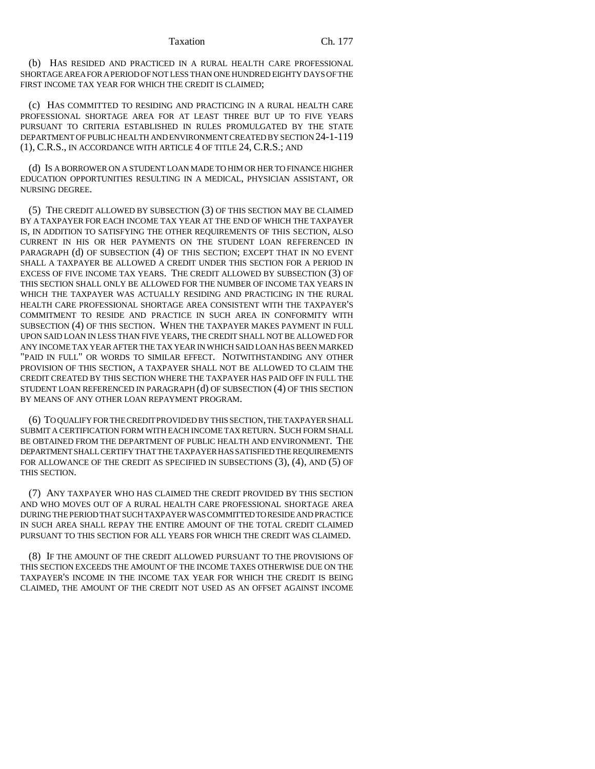#### Taxation Ch. 177

(b) HAS RESIDED AND PRACTICED IN A RURAL HEALTH CARE PROFESSIONAL SHORTAGE AREA FOR A PERIOD OF NOT LESS THAN ONE HUNDRED EIGHTY DAYS OF THE FIRST INCOME TAX YEAR FOR WHICH THE CREDIT IS CLAIMED;

(c) HAS COMMITTED TO RESIDING AND PRACTICING IN A RURAL HEALTH CARE PROFESSIONAL SHORTAGE AREA FOR AT LEAST THREE BUT UP TO FIVE YEARS PURSUANT TO CRITERIA ESTABLISHED IN RULES PROMULGATED BY THE STATE DEPARTMENT OF PUBLIC HEALTH AND ENVIRONMENT CREATED BY SECTION 24-1-119 (1), C.R.S., IN ACCORDANCE WITH ARTICLE 4 OF TITLE 24, C.R.S.; AND

(d) IS A BORROWER ON A STUDENT LOAN MADE TO HIM OR HER TO FINANCE HIGHER EDUCATION OPPORTUNITIES RESULTING IN A MEDICAL, PHYSICIAN ASSISTANT, OR NURSING DEGREE.

(5) THE CREDIT ALLOWED BY SUBSECTION (3) OF THIS SECTION MAY BE CLAIMED BY A TAXPAYER FOR EACH INCOME TAX YEAR AT THE END OF WHICH THE TAXPAYER IS, IN ADDITION TO SATISFYING THE OTHER REQUIREMENTS OF THIS SECTION, ALSO CURRENT IN HIS OR HER PAYMENTS ON THE STUDENT LOAN REFERENCED IN PARAGRAPH (d) OF SUBSECTION (4) OF THIS SECTION; EXCEPT THAT IN NO EVENT SHALL A TAXPAYER BE ALLOWED A CREDIT UNDER THIS SECTION FOR A PERIOD IN EXCESS OF FIVE INCOME TAX YEARS. THE CREDIT ALLOWED BY SUBSECTION (3) OF THIS SECTION SHALL ONLY BE ALLOWED FOR THE NUMBER OF INCOME TAX YEARS IN WHICH THE TAXPAYER WAS ACTUALLY RESIDING AND PRACTICING IN THE RURAL HEALTH CARE PROFESSIONAL SHORTAGE AREA CONSISTENT WITH THE TAXPAYER'S COMMITMENT TO RESIDE AND PRACTICE IN SUCH AREA IN CONFORMITY WITH SUBSECTION (4) OF THIS SECTION. WHEN THE TAXPAYER MAKES PAYMENT IN FULL UPON SAID LOAN IN LESS THAN FIVE YEARS, THE CREDIT SHALL NOT BE ALLOWED FOR ANY INCOME TAX YEAR AFTER THE TAX YEAR IN WHICH SAID LOAN HAS BEEN MARKED "PAID IN FULL" OR WORDS TO SIMILAR EFFECT. NOTWITHSTANDING ANY OTHER PROVISION OF THIS SECTION, A TAXPAYER SHALL NOT BE ALLOWED TO CLAIM THE CREDIT CREATED BY THIS SECTION WHERE THE TAXPAYER HAS PAID OFF IN FULL THE STUDENT LOAN REFERENCED IN PARAGRAPH (d) OF SUBSECTION (4) OF THIS SECTION BY MEANS OF ANY OTHER LOAN REPAYMENT PROGRAM.

(6) TO QUALIFY FOR THE CREDIT PROVIDED BY THIS SECTION, THE TAXPAYER SHALL SUBMIT A CERTIFICATION FORM WITH EACH INCOME TAX RETURN. SUCH FORM SHALL BE OBTAINED FROM THE DEPARTMENT OF PUBLIC HEALTH AND ENVIRONMENT. THE DEPARTMENT SHALL CERTIFY THAT THE TAXPAYER HAS SATISFIED THE REQUIREMENTS FOR ALLOWANCE OF THE CREDIT AS SPECIFIED IN SUBSECTIONS (3), (4), AND (5) OF THIS SECTION.

(7) ANY TAXPAYER WHO HAS CLAIMED THE CREDIT PROVIDED BY THIS SECTION AND WHO MOVES OUT OF A RURAL HEALTH CARE PROFESSIONAL SHORTAGE AREA DURING THE PERIOD THAT SUCH TAXPAYER WAS COMMITTED TO RESIDE AND PRACTICE IN SUCH AREA SHALL REPAY THE ENTIRE AMOUNT OF THE TOTAL CREDIT CLAIMED PURSUANT TO THIS SECTION FOR ALL YEARS FOR WHICH THE CREDIT WAS CLAIMED.

(8) IF THE AMOUNT OF THE CREDIT ALLOWED PURSUANT TO THE PROVISIONS OF THIS SECTION EXCEEDS THE AMOUNT OF THE INCOME TAXES OTHERWISE DUE ON THE TAXPAYER'S INCOME IN THE INCOME TAX YEAR FOR WHICH THE CREDIT IS BEING CLAIMED, THE AMOUNT OF THE CREDIT NOT USED AS AN OFFSET AGAINST INCOME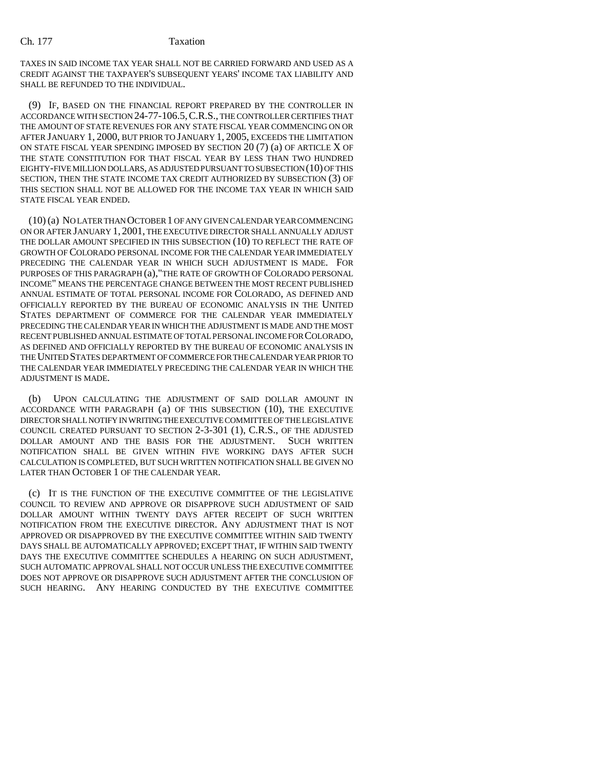## Ch. 177 Taxation

TAXES IN SAID INCOME TAX YEAR SHALL NOT BE CARRIED FORWARD AND USED AS A CREDIT AGAINST THE TAXPAYER'S SUBSEQUENT YEARS' INCOME TAX LIABILITY AND SHALL BE REFUNDED TO THE INDIVIDUAL.

(9) IF, BASED ON THE FINANCIAL REPORT PREPARED BY THE CONTROLLER IN ACCORDANCE WITH SECTION 24-77-106.5,C.R.S., THE CONTROLLER CERTIFIES THAT THE AMOUNT OF STATE REVENUES FOR ANY STATE FISCAL YEAR COMMENCING ON OR AFTER JANUARY 1, 2000, BUT PRIOR TO JANUARY 1, 2005, EXCEEDS THE LIMITATION ON STATE FISCAL YEAR SPENDING IMPOSED BY SECTION 20 (7) (a) OF ARTICLE X OF THE STATE CONSTITUTION FOR THAT FISCAL YEAR BY LESS THAN TWO HUNDRED EIGHTY-FIVE MILLION DOLLARS, AS ADJUSTED PURSUANT TO SUBSECTION (10) OF THIS SECTION, THEN THE STATE INCOME TAX CREDIT AUTHORIZED BY SUBSECTION (3) OF THIS SECTION SHALL NOT BE ALLOWED FOR THE INCOME TAX YEAR IN WHICH SAID STATE FISCAL YEAR ENDED.

(10) (a) NO LATER THAN OCTOBER 1 OF ANY GIVEN CALENDAR YEAR COMMENCING ON OR AFTER JANUARY 1, 2001, THE EXECUTIVE DIRECTOR SHALL ANNUALLY ADJUST THE DOLLAR AMOUNT SPECIFIED IN THIS SUBSECTION (10) TO REFLECT THE RATE OF GROWTH OF COLORADO PERSONAL INCOME FOR THE CALENDAR YEAR IMMEDIATELY PRECEDING THE CALENDAR YEAR IN WHICH SUCH ADJUSTMENT IS MADE. FOR PURPOSES OF THIS PARAGRAPH (a),"THE RATE OF GROWTH OF COLORADO PERSONAL INCOME" MEANS THE PERCENTAGE CHANGE BETWEEN THE MOST RECENT PUBLISHED ANNUAL ESTIMATE OF TOTAL PERSONAL INCOME FOR COLORADO, AS DEFINED AND OFFICIALLY REPORTED BY THE BUREAU OF ECONOMIC ANALYSIS IN THE UNITED STATES DEPARTMENT OF COMMERCE FOR THE CALENDAR YEAR IMMEDIATELY PRECEDING THE CALENDAR YEAR IN WHICH THE ADJUSTMENT IS MADE AND THE MOST RECENT PUBLISHED ANNUAL ESTIMATE OF TOTAL PERSONAL INCOME FOR COLORADO, AS DEFINED AND OFFICIALLY REPORTED BY THE BUREAU OF ECONOMIC ANALYSIS IN THE UNITED STATES DEPARTMENT OF COMMERCE FOR THE CALENDAR YEAR PRIOR TO THE CALENDAR YEAR IMMEDIATELY PRECEDING THE CALENDAR YEAR IN WHICH THE ADJUSTMENT IS MADE.

(b) UPON CALCULATING THE ADJUSTMENT OF SAID DOLLAR AMOUNT IN ACCORDANCE WITH PARAGRAPH (a) OF THIS SUBSECTION (10), THE EXECUTIVE DIRECTOR SHALL NOTIFY IN WRITING THE EXECUTIVE COMMITTEE OF THE LEGISLATIVE COUNCIL CREATED PURSUANT TO SECTION 2-3-301 (1), C.R.S., OF THE ADJUSTED DOLLAR AMOUNT AND THE BASIS FOR THE ADJUSTMENT. SUCH WRITTEN NOTIFICATION SHALL BE GIVEN WITHIN FIVE WORKING DAYS AFTER SUCH CALCULATION IS COMPLETED, BUT SUCH WRITTEN NOTIFICATION SHALL BE GIVEN NO LATER THAN OCTOBER 1 OF THE CALENDAR YEAR.

(c) IT IS THE FUNCTION OF THE EXECUTIVE COMMITTEE OF THE LEGISLATIVE COUNCIL TO REVIEW AND APPROVE OR DISAPPROVE SUCH ADJUSTMENT OF SAID DOLLAR AMOUNT WITHIN TWENTY DAYS AFTER RECEIPT OF SUCH WRITTEN NOTIFICATION FROM THE EXECUTIVE DIRECTOR. ANY ADJUSTMENT THAT IS NOT APPROVED OR DISAPPROVED BY THE EXECUTIVE COMMITTEE WITHIN SAID TWENTY DAYS SHALL BE AUTOMATICALLY APPROVED; EXCEPT THAT, IF WITHIN SAID TWENTY DAYS THE EXECUTIVE COMMITTEE SCHEDULES A HEARING ON SUCH ADJUSTMENT, SUCH AUTOMATIC APPROVAL SHALL NOT OCCUR UNLESS THE EXECUTIVE COMMITTEE DOES NOT APPROVE OR DISAPPROVE SUCH ADJUSTMENT AFTER THE CONCLUSION OF SUCH HEARING. ANY HEARING CONDUCTED BY THE EXECUTIVE COMMITTEE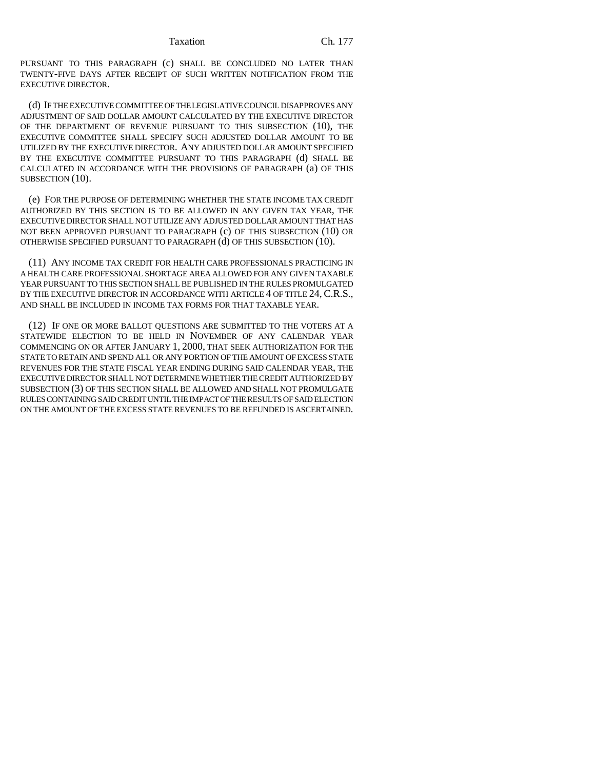PURSUANT TO THIS PARAGRAPH (c) SHALL BE CONCLUDED NO LATER THAN TWENTY-FIVE DAYS AFTER RECEIPT OF SUCH WRITTEN NOTIFICATION FROM THE EXECUTIVE DIRECTOR.

(d) IF THE EXECUTIVE COMMITTEE OF THE LEGISLATIVE COUNCIL DISAPPROVES ANY ADJUSTMENT OF SAID DOLLAR AMOUNT CALCULATED BY THE EXECUTIVE DIRECTOR OF THE DEPARTMENT OF REVENUE PURSUANT TO THIS SUBSECTION (10), THE EXECUTIVE COMMITTEE SHALL SPECIFY SUCH ADJUSTED DOLLAR AMOUNT TO BE UTILIZED BY THE EXECUTIVE DIRECTOR. ANY ADJUSTED DOLLAR AMOUNT SPECIFIED BY THE EXECUTIVE COMMITTEE PURSUANT TO THIS PARAGRAPH (d) SHALL BE CALCULATED IN ACCORDANCE WITH THE PROVISIONS OF PARAGRAPH (a) OF THIS SUBSECTION (10).

(e) FOR THE PURPOSE OF DETERMINING WHETHER THE STATE INCOME TAX CREDIT AUTHORIZED BY THIS SECTION IS TO BE ALLOWED IN ANY GIVEN TAX YEAR, THE EXECUTIVE DIRECTOR SHALL NOT UTILIZE ANY ADJUSTED DOLLAR AMOUNT THAT HAS NOT BEEN APPROVED PURSUANT TO PARAGRAPH (c) OF THIS SUBSECTION (10) OR OTHERWISE SPECIFIED PURSUANT TO PARAGRAPH (d) OF THIS SUBSECTION (10).

(11) ANY INCOME TAX CREDIT FOR HEALTH CARE PROFESSIONALS PRACTICING IN A HEALTH CARE PROFESSIONAL SHORTAGE AREA ALLOWED FOR ANY GIVEN TAXABLE YEAR PURSUANT TO THIS SECTION SHALL BE PUBLISHED IN THE RULES PROMULGATED BY THE EXECUTIVE DIRECTOR IN ACCORDANCE WITH ARTICLE 4 OF TITLE 24, C.R.S., AND SHALL BE INCLUDED IN INCOME TAX FORMS FOR THAT TAXABLE YEAR.

(12) IF ONE OR MORE BALLOT QUESTIONS ARE SUBMITTED TO THE VOTERS AT A STATEWIDE ELECTION TO BE HELD IN NOVEMBER OF ANY CALENDAR YEAR COMMENCING ON OR AFTER JANUARY 1, 2000, THAT SEEK AUTHORIZATION FOR THE STATE TO RETAIN AND SPEND ALL OR ANY PORTION OF THE AMOUNT OF EXCESS STATE REVENUES FOR THE STATE FISCAL YEAR ENDING DURING SAID CALENDAR YEAR, THE EXECUTIVE DIRECTOR SHALL NOT DETERMINE WHETHER THE CREDIT AUTHORIZED BY SUBSECTION (3) OF THIS SECTION SHALL BE ALLOWED AND SHALL NOT PROMULGATE RULES CONTAINING SAID CREDIT UNTIL THE IMPACT OF THE RESULTS OF SAID ELECTION ON THE AMOUNT OF THE EXCESS STATE REVENUES TO BE REFUNDED IS ASCERTAINED.